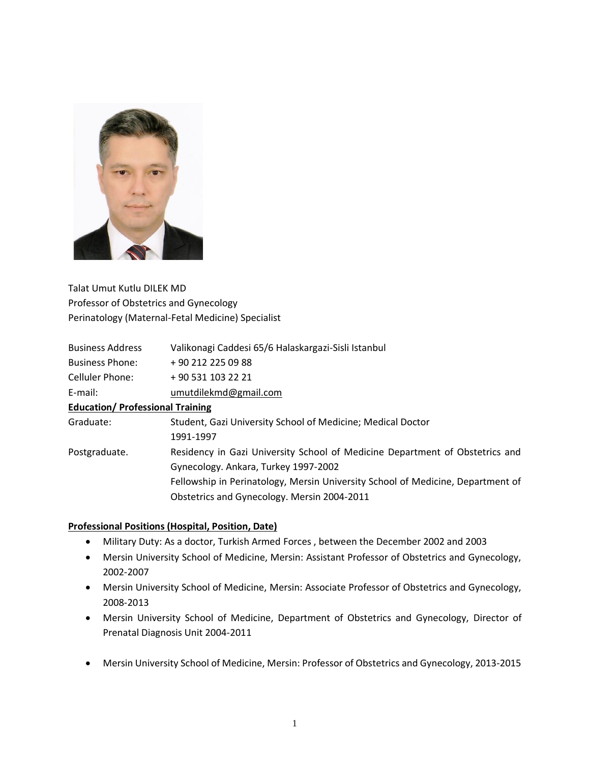

Talat Umut Kutlu DILEK MD Professor of Obstetrics and Gynecology Perinatology (Maternal-Fetal Medicine) Specialist

| <b>Business Address</b>                 | Valikonagi Caddesi 65/6 Halaskargazi-Sisli Istanbul                             |
|-----------------------------------------|---------------------------------------------------------------------------------|
| <b>Business Phone:</b>                  | +90 212 225 09 88                                                               |
| Celluler Phone:                         | +90 531 103 22 21                                                               |
| E-mail:                                 | umutdilekmd@gmail.com                                                           |
| <b>Education/ Professional Training</b> |                                                                                 |
| Graduate:                               | Student, Gazi University School of Medicine; Medical Doctor                     |
|                                         | 1991-1997                                                                       |
| Postgraduate.                           | Residency in Gazi University School of Medicine Department of Obstetrics and    |
|                                         | Gynecology. Ankara, Turkey 1997-2002                                            |
|                                         | Fellowship in Perinatology, Mersin University School of Medicine, Department of |
|                                         | Obstetrics and Gynecology. Mersin 2004-2011                                     |
|                                         |                                                                                 |

## **Professional Positions (Hospital, Position, Date)**

- Military Duty: As a doctor, Turkish Armed Forces , between the December 2002 and 2003
- Mersin University School of Medicine, Mersin: Assistant Professor of Obstetrics and Gynecology, 2002-2007
- Mersin University School of Medicine, Mersin: Associate Professor of Obstetrics and Gynecology, 2008-2013
- Mersin University School of Medicine, Department of Obstetrics and Gynecology, Director of Prenatal Diagnosis Unit 2004-2011
- Mersin University School of Medicine, Mersin: Professor of Obstetrics and Gynecology, 2013-2015